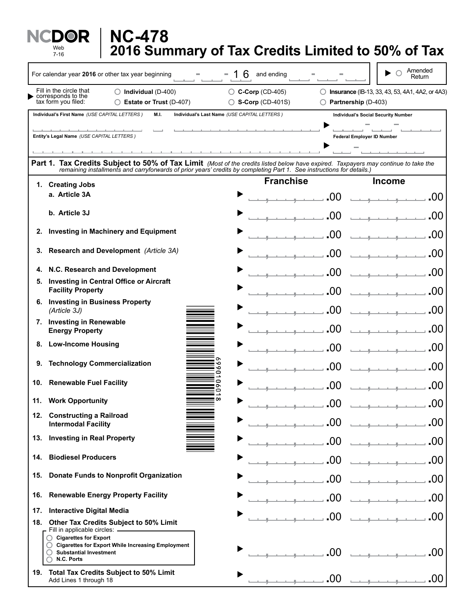|     | <b>NC-478</b><br>Web<br>2016 Summary of Tax Credits Limited to 50% of Tax<br>$7 - 16$                                                                                                                                                                       |                                                        |                     |                                                          |
|-----|-------------------------------------------------------------------------------------------------------------------------------------------------------------------------------------------------------------------------------------------------------------|--------------------------------------------------------|---------------------|----------------------------------------------------------|
|     | For calendar year 2016 or other tax year beginning                                                                                                                                                                                                          | 6<br>and ending                                        |                     | Amended<br>Return                                        |
|     | Fill in the circle that<br>$\bigcirc$ Individual (D-400)<br>$\triangleright$ corresponds to the<br>tax form you filed:<br>◯ Estate or Trust (D-407)                                                                                                         | $\bigcirc$ C-Corp (CD-405)<br>$\circ$ S-Corp (CD-401S) | Partnership (D-403) | <b>D</b> Insurance (IB-13, 33, 43, 53, 4A1, 4A2, or 4A3) |
|     | Individual's First Name (USE CAPITAL LETTERS)<br>M.I.                                                                                                                                                                                                       | Individual's Last Name (USE CAPITAL LETTERS)           |                     | <b>Individual's Social Security Number</b>               |
|     | Entity's Legal Name (USE CAPITAL LETTERS)                                                                                                                                                                                                                   |                                                        |                     | Federal Employer ID Number                               |
|     | Part 1. Tax Credits Subject to 50% of Tax Limit (Most of the credits listed below have expired. Taxpayers may continue to take the<br>remaining installments and carryforwards of prior years' credits by completing Part 1. See instructions for details.) |                                                        |                     |                                                          |
|     | 1. Creating Jobs                                                                                                                                                                                                                                            | <b>Franchise</b>                                       |                     | <b>Income</b>                                            |
|     | a. Article 3A                                                                                                                                                                                                                                               |                                                        | .00                 | .00<br>والمتعادل والمتعادل والمتعاد                      |
|     | b. Article 3J                                                                                                                                                                                                                                               |                                                        | .00                 |                                                          |
| 2.  | <b>Investing in Machinery and Equipment</b>                                                                                                                                                                                                                 |                                                        | .00                 |                                                          |
| 3.  | Research and Development (Article 3A)                                                                                                                                                                                                                       |                                                        | .00                 |                                                          |
| 4.  | N.C. Research and Development                                                                                                                                                                                                                               |                                                        | .00                 | .OO                                                      |
| 5.  | <b>Investing in Central Office or Aircraft</b><br><b>Facility Property</b>                                                                                                                                                                                  |                                                        | .00                 | .00                                                      |
|     | 6. Investing in Business Property<br>(Article 3J)                                                                                                                                                                                                           |                                                        | 00                  | .00                                                      |
|     | 7. Investing in Renewable                                                                                                                                                                                                                                   |                                                        | .00                 | .00                                                      |
|     | <b>Energy Property</b><br>8. Low-Income Housing                                                                                                                                                                                                             |                                                        | .00                 | .00                                                      |
|     | 9. Technology Commercialization                                                                                                                                                                                                                             |                                                        |                     |                                                          |
|     | 10. Renewable Fuel Facility                                                                                                                                                                                                                                 |                                                        | .00                 | .00                                                      |
|     | ᇰ<br>0<br>œ<br>11. Work Opportunity                                                                                                                                                                                                                         |                                                        | 00                  | .00                                                      |
| 12. | <b>Constructing a Railroad</b>                                                                                                                                                                                                                              |                                                        | .00                 | .00                                                      |
|     | <b>Intermodal Facility</b>                                                                                                                                                                                                                                  |                                                        | .00                 | .00                                                      |
|     | 13. Investing in Real Property                                                                                                                                                                                                                              |                                                        | .00                 | .00                                                      |
| 14. | <b>Biodiesel Producers</b>                                                                                                                                                                                                                                  |                                                        | .00                 | .00                                                      |
| 15. | <b>Donate Funds to Nonprofit Organization</b>                                                                                                                                                                                                               |                                                        | .00                 | .00                                                      |
| 16. | <b>Renewable Energy Property Facility</b>                                                                                                                                                                                                                   |                                                        | .00                 | .00                                                      |
| 17. | <b>Interactive Digital Media</b>                                                                                                                                                                                                                            |                                                        | 0 <sub>0</sub>      | .00                                                      |
|     | 18. Other Tax Credits Subject to 50% Limit<br>Fill in applicable circles: _______________                                                                                                                                                                   |                                                        |                     |                                                          |
|     | ◯ Cigarettes for Export<br>C Cigarettes for Export While Increasing Employment<br>◯ Substantial Investment<br>N.C. Ports<br>O                                                                                                                               |                                                        | .00                 | .00                                                      |
|     | 19. Total Tax Credits Subject to 50% Limit<br>Add Lines 1 through 18                                                                                                                                                                                        |                                                        | .00                 | .00<br>and the company of the                            |